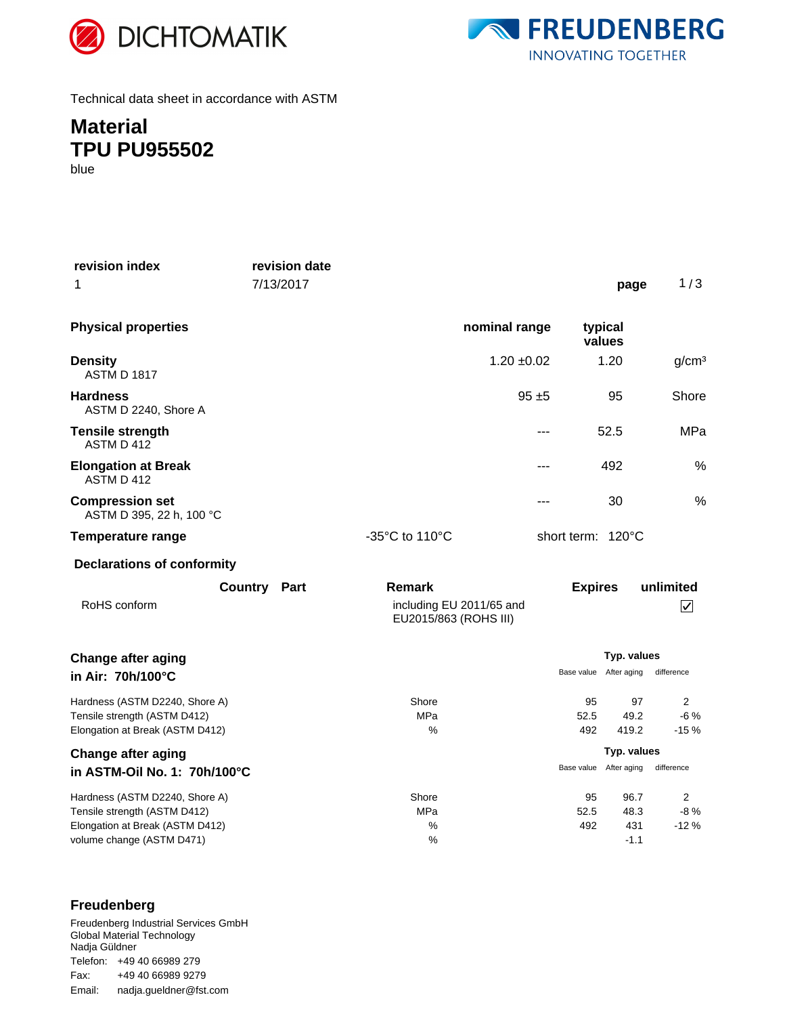



Technical data sheet in accordance with ASTM

## **Material TPU PU955502**

blue

| revision index<br>1                                                                                                            | revision date<br>7/13/2017 |                                                             |                 |                        | page                          | 1/3                                  |
|--------------------------------------------------------------------------------------------------------------------------------|----------------------------|-------------------------------------------------------------|-----------------|------------------------|-------------------------------|--------------------------------------|
| <b>Physical properties</b>                                                                                                     |                            |                                                             | nominal range   | typical<br>values      |                               |                                      |
| <b>Density</b><br><b>ASTM D 1817</b>                                                                                           |                            |                                                             | $1.20 \pm 0.02$ |                        | 1.20                          | g/cm <sup>3</sup>                    |
| <b>Hardness</b><br>ASTM D 2240, Shore A                                                                                        |                            |                                                             | $95 + 5$        |                        | 95                            | Shore                                |
| <b>Tensile strength</b><br>ASTM D 412                                                                                          |                            |                                                             | ---             |                        | 52.5                          | MPa                                  |
| <b>Elongation at Break</b><br>ASTM D 412                                                                                       |                            |                                                             | $---$           |                        | 492                           | %                                    |
| <b>Compression set</b><br>ASTM D 395, 22 h, 100 °C                                                                             |                            |                                                             |                 |                        | 30                            | %                                    |
| <b>Temperature range</b>                                                                                                       |                            | -35 $^{\circ}$ C to 110 $^{\circ}$ C                        |                 | short term: 120°C      |                               |                                      |
| <b>Declarations of conformity</b>                                                                                              |                            |                                                             |                 |                        |                               |                                      |
| RoHS conform                                                                                                                   | <b>Country Part</b>        | Remark<br>including EU 2011/65 and<br>EU2015/863 (ROHS III) |                 | <b>Expires</b>         |                               | unlimited<br>$\overline{\checkmark}$ |
| <b>Change after aging</b><br>in Air: 70h/100°C                                                                                 |                            |                                                             |                 | Base value             | Typ. values<br>After aging    | difference                           |
| Hardness (ASTM D2240, Shore A)<br>Tensile strength (ASTM D412)<br>Elongation at Break (ASTM D412)                              |                            | Shore<br><b>MPa</b><br>%                                    |                 | 95<br>52.5<br>492      | 97<br>49.2<br>419.2           | $\overline{2}$<br>$-6%$<br>$-15%$    |
| <b>Change after aging</b>                                                                                                      |                            |                                                             |                 |                        | Typ. values                   | difference                           |
| in ASTM-Oil No. 1: 70h/100°C                                                                                                   |                            |                                                             |                 | Base value After aging |                               |                                      |
| Hardness (ASTM D2240, Shore A)<br>Tensile strength (ASTM D412)<br>Elongation at Break (ASTM D412)<br>volume change (ASTM D471) |                            | Shore<br><b>MPa</b><br>%<br>%                               |                 | 95<br>52.5<br>492      | 96.7<br>48.3<br>431<br>$-1.1$ | 2<br>$-8%$<br>$-12%$                 |

### **Freudenberg**

Freudenberg Industrial Services GmbH Global Material Technology Nadja Güldner Telefon: +49 40 66989 279 Email: nadja.gueldner@fst.com Fax: +49 40 66989 9279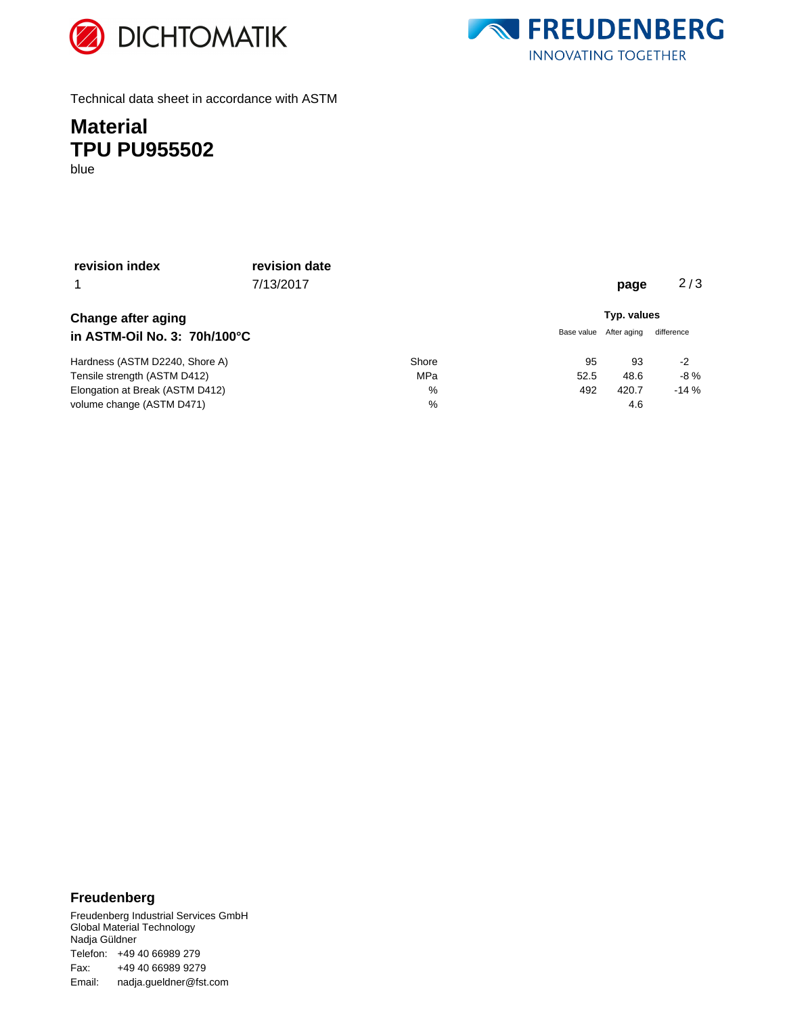



Technical data sheet in accordance with ASTM

## **Material TPU PU955502**

blue

| revision index                  | revision date |       |             |             |            |  |
|---------------------------------|---------------|-------|-------------|-------------|------------|--|
| 1                               | 7/13/2017     |       |             | page        | 2/3        |  |
| <b>Change after aging</b>       |               |       | Typ. values |             |            |  |
| in ASTM-Oil No. 3: 70h/100°C    |               |       | Base value  | After aging | difference |  |
| Hardness (ASTM D2240, Shore A)  |               | Shore | 95          | 93          | $-2$       |  |
| Tensile strength (ASTM D412)    |               | MPa   | 52.5        | 48.6        | $-8%$      |  |
| Elongation at Break (ASTM D412) |               | %     | 492         | 420.7       | $-14%$     |  |
| volume change (ASTM D471)       |               | $\%$  |             | 4.6         |            |  |

#### **Freudenberg**

Freudenberg Industrial Services GmbH Global Material Technology Nadja Güldner Telefon: +49 40 66989 279 Email: nadja.gueldner@fst.com Fax: +49 40 66989 9279